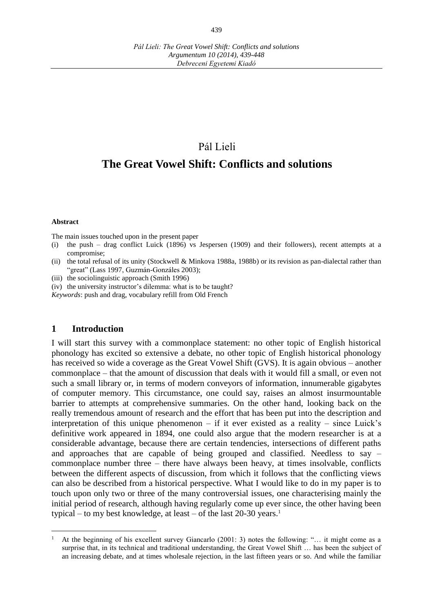*Argumentum 10 (2014), 439-448 Debreceni Egyetemi Kiadó*

# Pál Lieli

# **The Great Vowel Shift: Conflicts and solutions**

#### **Abstract**

 $\overline{a}$ 

The main issues touched upon in the present paper

- (i) the push drag conflict Luick (1896) vs Jespersen (1909) and their followers), recent attempts at a compromise;
- (ii) the total refusal of its unity (Stockwell & Minkova 1988a, 1988b) or its revision as pan-dialectal rather than "great" (Lass 1997, Guzmán-Gonzáles 2003);
- (iii) the sociolinguistic approach (Smith 1996)
- (iv) the university instructor's dilemma: what is to be taught?

*Keywords*: push and drag, vocabulary refill from Old French

#### **1 Introduction**

I will start this survey with a commonplace statement: no other topic of English historical phonology has excited so extensive a debate, no other topic of English historical phonology has received so wide a coverage as the Great Vowel Shift (GVS). It is again obvious – another commonplace – that the amount of discussion that deals with it would fill a small, or even not such a small library or, in terms of modern conveyors of information, innumerable gigabytes of computer memory. This circumstance, one could say, raises an almost insurmountable barrier to attempts at comprehensive summaries. On the other hand, looking back on the really tremendous amount of research and the effort that has been put into the description and interpretation of this unique phenomenon – if it ever existed as a reality – since Luick's definitive work appeared in 1894, one could also argue that the modern researcher is at a considerable advantage, because there are certain tendencies, intersections of different paths and approaches that are capable of being grouped and classified. Needless to say – commonplace number three – there have always been heavy, at times insolvable, conflicts between the different aspects of discussion, from which it follows that the conflicting views can also be described from a historical perspective. What I would like to do in my paper is to touch upon only two or three of the many controversial issues, one characterising mainly the initial period of research, although having regularly come up ever since, the other having been typical – to my best knowledge, at least – of the last  $20-30$  years.<sup>1</sup>

At the beginning of his excellent survey Giancarlo (2001: 3) notes the following: "... it might come as a surprise that, in its technical and traditional understanding, the Great Vowel Shift … has been the subject of an increasing debate, and at times wholesale rejection, in the last fifteen years or so. And while the familiar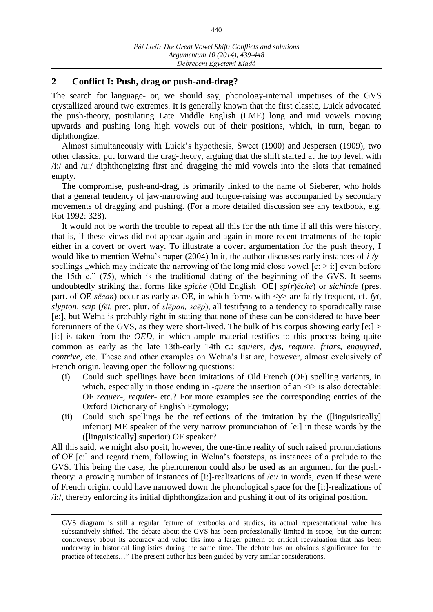# **2 Conflict I: Push, drag or push-and-drag?**

The search for language- or, we should say, phonology-internal impetuses of the GVS crystallized around two extremes. It is generally known that the first classic, Luick advocated the push-theory, postulating Late Middle English (LME) long and mid vowels moving upwards and pushing long high vowels out of their positions, which, in turn, began to diphthongize.

Almost simultaneously with Luick's hypothesis, Sweet (1900) and Jespersen (1909), two other classics, put forward the drag-theory, arguing that the shift started at the top level, with /i:/ and /u:/ diphthongizing first and dragging the mid vowels into the slots that remained empty.

The compromise, push-and-drag, is primarily linked to the name of Sieberer, who holds that a general tendency of jaw-narrowing and tongue-raising was accompanied by secondary movements of dragging and pushing. (For a more detailed discussion see any textbook, e.g. Rot 1992: 328).

It would not be worth the trouble to repeat all this for the nth time if all this were history, that is, if these views did not appear again and again in more recent treatments of the topic either in a covert or overt way. To illustrate a covert argumentation for the push theory, I would like to mention Wełna's paper (2004) In it, the author discusses early instances of *i-/y*spellings , which may indicate the narrowing of the long mid close vowel  $[e: \gt i]$  even before the 15th c." (75), which is the traditional dating of the beginning of the GVS. It seems undoubtedly striking that forms like *spiche* (Old English [OE] *sp*(*r*)*ēche*) or *sichinde* (pres. part. of OE *sēcan*) occur as early as OE, in which forms with  $\langle y \rangle$  are fairly frequent, cf. *fyt*, *slypton, scip* (*fēt,* pret. plur. of *slēpan, scēp*), all testifying to a tendency to sporadically raise [e:], but Wełna is probably right in stating that none of these can be considered to have been forerunners of the GVS, as they were short-lived. The bulk of his corpus showing early [e:] > [i:] is taken from the *OED*, in which ample material testifies to this process being quite common as early as the late 13th-early 14th c.: *squiers, dys, require, friars, enquyred, contrive,* etc. These and other examples on Wełna's list are, however, almost exclusively of French origin, leaving open the following questions:

- (i) Could such spellings have been imitations of Old French (OF) spelling variants, in which, especially in those ending in *-quere* the insertion of an  *i* is also detectable: OF *requer-, requier-* etc.? For more examples see the corresponding entries of the Oxford Dictionary of English Etymology;
- (ii) Could such spellings be the reflections of the imitation by the ([linguistically] inferior) ME speaker of the very narrow pronunciation of [e:] in these words by the ([linguistically] superior) OF speaker?

All this said, we might also posit, however, the one-time reality of such raised pronunciations of OF [e:] and regard them, following in Wełna's footsteps, as instances of a prelude to the GVS. This being the case, the phenomenon could also be used as an argument for the pushtheory: a growing number of instances of [i:]-realizations of /e:/ in words, even if these were of French origin, could have narrowed down the phonological space for the [i:]-realizations of /i:/, thereby enforcing its initial diphthongization and pushing it out of its original position.

 $\overline{a}$ 

GVS diagram is still a regular feature of textbooks and studies, its actual representational value has substantively shifted. The debate about the GVS has been professionally limited in scope, but the current controversy about its accuracy and value fits into a larger pattern of critical reevaluation that has been underway in historical linguistics during the same time. The debate has an obvious significance for the practice of teachers…" The present author has been guided by very similar considerations.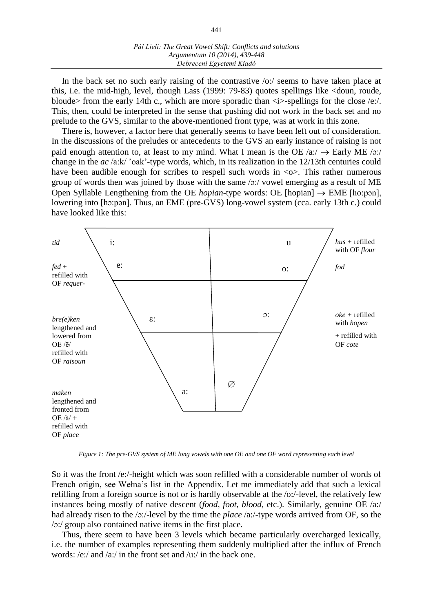In the back set no such early raising of the contrastive /o:/ seems to have taken place at this, i.e. the mid-high, level, though Lass (1999: 79-83) quotes spellings like <doun, roude, bloude> from the early 14th c., which are more sporadic than  $\langle i \rangle$ -spellings for the close /e:/. This, then, could be interpreted in the sense that pushing did not work in the back set and no prelude to the GVS, similar to the above-mentioned front type, was at work in this zone.

There is, however, a factor here that generally seems to have been left out of consideration. In the discussions of the preludes or antecedents to the GVS an early instance of raising is not paid enough attention to, at least to my mind. What I mean is the OE  $\alpha$ :/  $\rightarrow$  Early ME  $\alpha$ :/ change in the *ac* /a:k/ 'oak'-type words, which, in its realization in the 12/13th centuries could have been audible enough for scribes to respell such words in  $\langle \circ \rangle$ . This rather numerous group of words then was joined by those with the same  $\alpha$ :/ vowel emerging as a result of ME Open Syllable Lengthening from the OE *hopian*-type words: OE [hopian]  $\rightarrow$  EME [ho:pən], lowering into [hɔ:pən]. Thus, an EME (pre-GVS) long-vowel system (cca. early 13th c.) could have looked like this:



*Figure 1: The pre-GVS system of ME long vowels with one OE and one OF word representing each level*

So it was the front /e:/-height which was soon refilled with a considerable number of words of French origin, see Wełna's list in the Appendix. Let me immediately add that such a lexical refilling from a foreign source is not or is hardly observable at the /o:/-level, the relatively few instances being mostly of native descent (*food, foot, blood,* etc.). Similarly, genuine OE /a:/ had already risen to the /o:/-level by the time the *place* /a:/-type words arrived from OF, so the /O:/ group also contained native items in the first place.

Thus, there seem to have been 3 levels which became particularly overcharged lexically, i.e. the number of examples representing them suddenly multiplied after the influx of French words: /e:/ and /a:/ in the front set and /u:/ in the back one.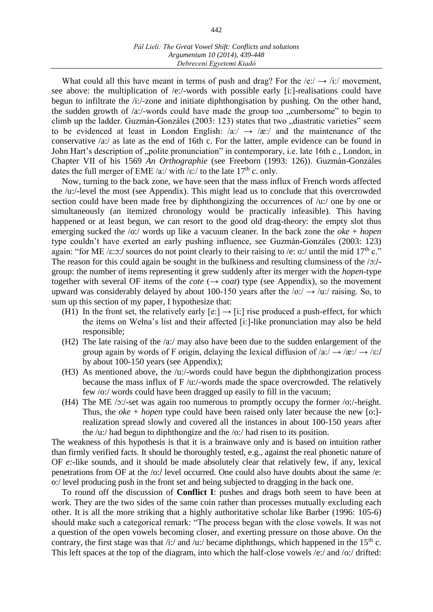What could all this have meant in terms of push and drag? For the  $/e$ :/  $\rightarrow$  /i:/ movement, see above: the multiplication of /e:/-words with possible early [i:]-realisations could have begun to infiltrate the /i:/-zone and initiate diphthongisation by pushing. On the other hand, the sudden growth of  $\alpha$ :/-words could have made the group too "cumbersome" to begin to climb up the ladder. Guzmán-Gonzáles (2003: 123) states that two "diastratic varieties" seem to be evidenced at least in London English:  $\sqrt{a}$ :  $\rightarrow \sqrt{a}$ : and the maintenance of the conservative /a:/ as late as the end of 16th c. For the latter, ample evidence can be found in John Hart's description of "polite pronunciation" in contemporary, i.e. late 16th c., London, in Chapter VII of his 1569 *An Orthographie* (see Freeborn (1993: 126)). Guzmán-Gonzáles dates the full merger of EME /a:/ with / $\varepsilon$ :/ to the late 17<sup>th</sup> c. only.

Now, turning to the back zone, we have seen that the mass influx of French words affected the /u:/-level the most (see Appendix). This might lead us to conclude that this overcrowded section could have been made free by diphthongizing the occurrences of  $/u$ :/ one by one or simultaneously (an itemized chronology would be practically infeasible). This having happened or at least begun, we can resort to the good old drag-theory: the empty slot thus emerging sucked the /o:/ words up like a vacuum cleaner. In the back zone the *oke* + *hopen* type couldn't have exerted an early pushing influence, see Guzmán-Gonzáles (2003: 123) again: "for ME / $\varepsilon$ : $\circ$ :/ sources do not point clearly to their raising to /e:  $\circ$ :/ until the mid 17<sup>th</sup> c." The reason for this could again be sought in the bulkiness and resulting clumsiness of the /o:/group: the number of items representing it grew suddenly after its merger with the *hopen-*type together with several OF items of the *cote* ( $\rightarrow$  *coat*) type (see Appendix), so the movement upward was considerably delayed by about 100-150 years after the  $\sqrt{\frac{6}{7}} \rightarrow \sqrt{\frac{1}{2}}$  raising. So, to sum up this section of my paper, I hypothesize that:

- (H1) In the front set, the relatively early  $[e:] \rightarrow [i:]$  rise produced a push-effect, for which the items on Wełna's list and their affected [i:]-like pronunciation may also be held responsible;
- (H2) The late raising of the /a:/ may also have been due to the sudden enlargement of the group again by words of F origin, delaying the lexical diffusion of  $\sqrt{a}$ :/  $\rightarrow \sqrt{a}$ :/  $\rightarrow \sqrt{\epsilon}$ :/ by about 100-150 years (see Appendix);
- (H3) As mentioned above, the /u:/-words could have begun the diphthongization process because the mass influx of  $F /u$ :/-words made the space overcrowded. The relatively few /o:/ words could have been dragged up easily to fill in the vacuum;
- (H4) The ME /O:/-set was again too numerous to promptly occupy the former /o:/-height. Thus, the *oke* + *hopen* type could have been raised only later because the new [o:] realization spread slowly and covered all the instances in about 100-150 years after the /u:/ had begun to diphthongize and the /o:/ had risen to its position.

The weakness of this hypothesis is that it is a brainwave only and is based on intuition rather than firmly verified facts. It should be thoroughly tested, e.g., against the real phonetic nature of OF *e:*-like sounds, and it should be made absolutely clear that relatively few, if any, lexical penetrations from OF at the /o:/ level occurred. One could also have doubts about the same /e: o:/ level producing push in the front set and being subjected to dragging in the back one.

To round off the discussion of **Conflict I**: pushes and drags both seem to have been at work. They are the two sides of the same coin rather than processes mutually excluding each other. It is all the more striking that a highly authoritative scholar like Barber (1996: 105-6) should make such a categorical remark: "The process began with the close vowels. It was not a question of the open vowels becoming closer, and exerting pressure on those above. On the contrary, the first stage was that /i:/ and /u:/ became diphthongs, which happened in the 15<sup>th</sup> c. This left spaces at the top of the diagram, into which the half-close vowels /e:/ and /o:/ drifted: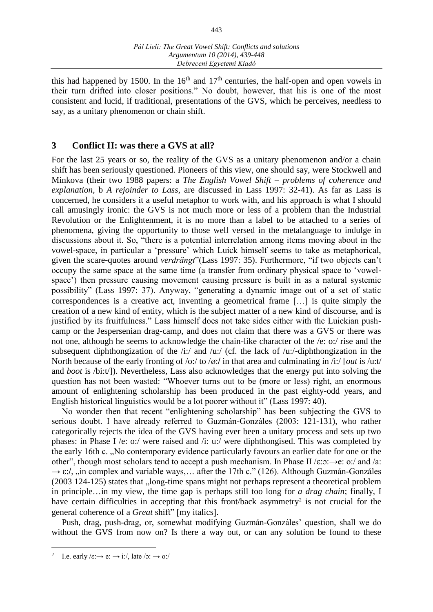this had happened by 1500. In the  $16<sup>th</sup>$  and  $17<sup>th</sup>$  centuries, the half-open and open vowels in their turn drifted into closer positions." No doubt, however, that his is one of the most consistent and lucid, if traditional, presentations of the GVS, which he perceives, needless to say, as a unitary phenomenon or chain shift.

### **3 Conflict II: was there a GVS at all?**

For the last 25 years or so, the reality of the GVS as a unitary phenomenon and/or a chain shift has been seriously questioned. Pioneers of this view, one should say, were Stockwell and Minkova (their two 1988 papers: a *The English Vowel Shift – problems of coherence and explanation*, b *A rejoinder to Lass*, are discussed in Lass 1997: 32-41). As far as Lass is concerned, he considers it a useful metaphor to work with, and his approach is what I should call amusingly ironic: the GVS is not much more or less of a problem than the Industrial Revolution or the Enlightenment, it is no more than a label to be attached to a series of phenomena, giving the opportunity to those well versed in the metalanguage to indulge in discussions about it. So, "there is a potential interrelation among items moving about in the vowel-space, in particular a 'pressure' which Luick himself seems to take as metaphorical, given the scare-quotes around *verdrängt*"(Lass 1997: 35). Furthermore, "if two objects can't occupy the same space at the same time (a transfer from ordinary physical space to 'vowelspace') then pressure causing movement causing pressure is built in as a natural systemic possibility" (Lass 1997: 37). Anyway, "generating a dynamic image out of a set of static correspondences is a creative act, inventing a geometrical frame [...] is quite simply the creation of a new kind of entity, which is the subject matter of a new kind of discourse, and is justified by its fruitfulness." Lass himself does not take sides either with the Luickian pushcamp or the Jespersenian drag-camp, and does not claim that there was a GVS or there was not one, although he seems to acknowledge the chain-like character of the /e: o:/ rise and the subsequent diphthongization of the  $/i$ :/ and  $/u$ :/ (cf. the lack of  $/u$ :/-diphthongization in the North because of the early fronting of /o:/ to /ø:/ in that area and culminating in /i:/ [*out* is /u:t/ and *boot* is /bi:t/]). Nevertheless, Lass also acknowledges that the energy put into solving the question has not been wasted: "Whoever turns out to be (more or less) right, an enormous amount of enlightening scholarship has been produced in the past eighty-odd years, and English historical linguistics would be a lot poorer without it" (Lass 1997: 40).

No wonder then that recent "enlightening scholarship" has been subjecting the GVS to serious doubt. I have already referred to Guzmán-Gonzáles (2003: 121-131), who rather categorically rejects the idea of the GVS having ever been a unitary process and sets up two phases: in Phase I /e: o:/ were raised and /i: u:/ were diphthongised. This was completed by the early 16th c. "No contemporary evidence particularly favours an earlier date for one or the other", though most scholars tend to accept a push mechanism. In Phase II  $\ell$ : $\infty$ : $\rightarrow$ e: o:/ and  $\ell$ a:  $\rightarrow \varepsilon$ :/, ,,in complex and variable ways,... after the 17th c." (126). Although Guzmán-Gonzáles (2003 124-125) states that "long-time spans might not perhaps represent a theoretical problem in principle…in my view, the time gap is perhaps still too long for *a drag chain*; finally, I have certain difficulties in accepting that this front/back asymmetry<sup>2</sup> is not crucial for the general coherence of a *Great* shift" [my italics].

Push, drag, push-drag, or, somewhat modifying Guzmán-Gonzáles' question, shall we do without the GVS from now on? Is there a way out, or can any solution be found to these

 $\overline{a}$ 

<sup>2</sup> I.e. early  $\ell \in \mathbb{R} \to \infty$ :  $\rightarrow \infty$ ;  $\ell \to \infty$ ;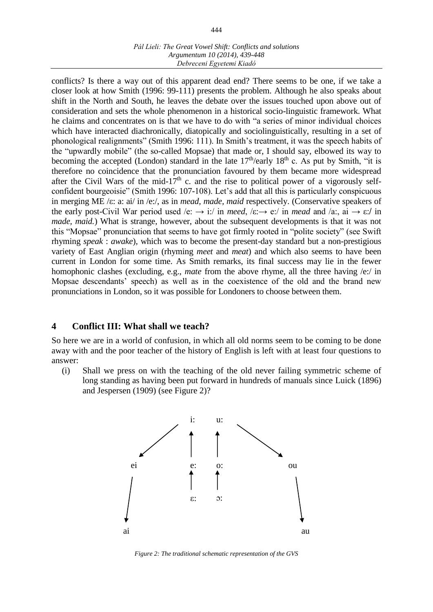#### *Pál Lieli: The Great Vowel Shift: Conflicts and solutions Argumentum 10 (2014), 439-448 Debreceni Egyetemi Kiadó*

conflicts? Is there a way out of this apparent dead end? There seems to be one, if we take a closer look at how Smith (1996: 99-111) presents the problem. Although he also speaks about shift in the North and South, he leaves the debate over the issues touched upon above out of consideration and sets the whole phenomenon in a historical socio-linguistic framework. What he claims and concentrates on is that we have to do with "a series of minor individual choices which have interacted diachronically, diatopically and sociolinguistically, resulting in a set of phonological realignments" (Smith 1996: 111). In Smith's treatment, it was the speech habits of the "upwardly mobile" (the so-called Mopsae) that made or, I should say, elbowed its way to becoming the accepted (London) standard in the late  $17<sup>th</sup>/early$  18<sup>th</sup> c. As put by Smith, "it is therefore no coincidence that the pronunciation favoured by them became more widespread after the Civil Wars of the mid-17<sup>th</sup> c. and the rise to political power of a vigorously selfconfident bourgeoisie" (Smith 1996: 107-108). Let's add that all this is particularly conspicuous in merging ME /E: a: ai/ in /e:/, as in *mead, made, maid* respectively. (Conservative speakers of the early post-Civil War period used /e:  $\rightarrow$  i:/ in *meed*, /ε: $\rightarrow$  e:/ in *mead* and /a:, ai  $\rightarrow$  ε:/ in *made, maid.*) What is strange, however, about the subsequent developments is that it was not this "Mopsae" pronunciation that seems to have got firmly rooted in "polite society" (see Swift rhyming *speak* : *awake*), which was to become the present-day standard but a non-prestigious variety of East Anglian origin (rhyming *meet* and *meat*) and which also seems to have been current in London for some time. As Smith remarks, its final success may lie in the fewer homophonic clashes (excluding, e.g., *mate* from the above rhyme, all the three having /e:/ in Mopsae descendants' speech) as well as in the coexistence of the old and the brand new pronunciations in London, so it was possible for Londoners to choose between them.

# **4 Conflict III: What shall we teach?**

So here we are in a world of confusion, in which all old norms seem to be coming to be done away with and the poor teacher of the history of English is left with at least four questions to answer:

(i) Shall we press on with the teaching of the old never failing symmetric scheme of long standing as having been put forward in hundreds of manuals since Luick (1896) and Jespersen (1909) (see Figure 2)?



*Figure 2: The traditional schematic representation of the GVS*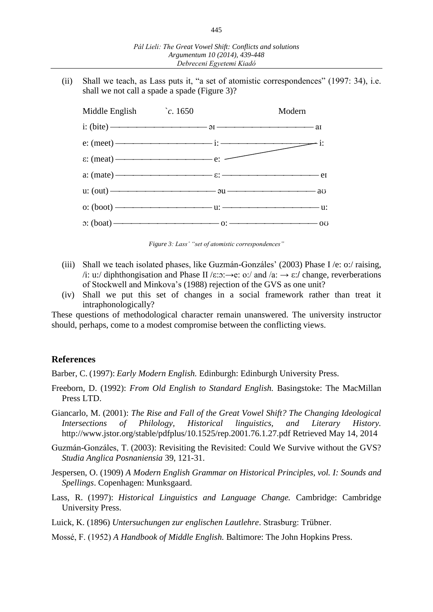(ii) Shall we teach, as Lass puts it, "a set of atomistic correspondences" (1997: 34), i.e. shall we not call a spade a spade (Figure 3)?



*Figure 3: Lass' "set of atomistic correspondences"*

- (iii) Shall we teach isolated phases, like Guzmán-Gonzáles' (2003) Phase I /e: o:/ raising, /i: u:/ diphthongisation and Phase II / $\varepsilon$ : o:/ and /a: →  $\varepsilon$ :/ change, reverberations of Stockwell and Minkova's (1988) rejection of the GVS as one unit?
- (iv) Shall we put this set of changes in a social framework rather than treat it intraphonologically?

These questions of methodological character remain unanswered. The university instructor should, perhaps, come to a modest compromise between the conflicting views.

### **References**

Barber, C. (1997): *Early Modern English.* Edinburgh: Edinburgh University Press.

- Freeborn, D. (1992): *From Old English to Standard English.* Basingstoke: The MacMillan Press LTD.
- Giancarlo, M. (2001): *The Rise and Fall of the Great Vowel Shift? The Changing Ideological Intersections of Philology, Historical linguistics, and Literary History.* [http://www.jstor.org/stable/pdfplus/10.1525/rep.2001.76.1.27.pdf Retrieved May 14,](http://www.jstor.org/stable/pdfplus/10.1525/rep.2001.76.1.27.pdf%20Retrieved%20May%2014) 2014
- Guzmán-Gonzáles, T. (2003): Revisiting the Revisited: Could We Survive without the GVS? *Studia Anglica Posnaniensia* 39, 121-31.
- Jespersen, O. (1909) *A Modern English Grammar on Historical Principles, vol. I: Sounds and Spellings*. Copenhagen: Munksgaard.
- Lass, R. (1997): *Historical Linguistics and Language Change.* Cambridge: Cambridge University Press.
- Luick, K. (1896) *Untersuchungen zur englischen Lautlehre*. Strasburg: Trübner.
- Mossé, F. (1952) *A Handbook of Middle English.* Baltimore: The John Hopkins Press.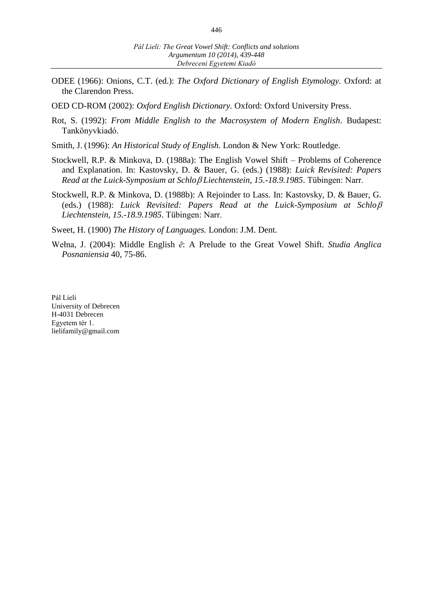ODEE (1966): Onions, C.T. (ed.): *The Oxford Dictionary of English Etymology.* Oxford: at the Clarendon Press.

OED CD-ROM (2002): *Oxford English Dictionary.* Oxford: Oxford University Press.

- Rot, S. (1992): *From Middle English to the Macrosystem of Modern English*. Budapest: Tankönyvkiadó.
- Smith, J. (1996): *An Historical Study of English.* London & New York: Routledge.
- Stockwell, R.P. & Minkova, D. (1988a): The English Vowel Shift Problems of Coherence and Explanation. In: Kastovsky, D. & Bauer, G. (eds.) (1988): *Luick Revisited: Papers Read at the Luick-Symposium at Schlo*B *Liechtenstein, 15.-18.9.1985*. Tübingen: Narr.
- Stockwell, R.P. & Minkova, D. (1988b): A Rejoinder to Lass. In: Kastovsky, D. & Bauer, G. (eds.) (1988): *Luick Revisited: Papers Read at the Luick-Symposium at Schlo*B *Liechtenstein, 15.-18.9.1985*. Tübingen: Narr.

Sweet, H. (1900) *The History of Languages.* London: J.M. Dent.

Wełna, J. (2004): Middle English *ē*: A Prelude to the Great Vowel Shift. *Studia Anglica Posnaniensia* 40, 75-86.

Pál Lieli University of Debrecen H-4031 Debrecen Egyetem tér 1. lielifamily@gmail.com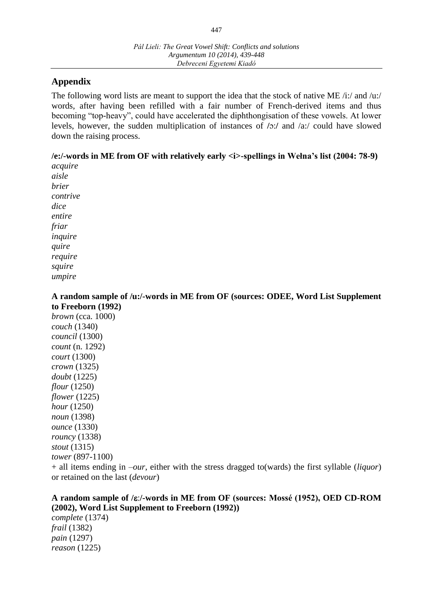# **Appendix**

The following word lists are meant to support the idea that the stock of native ME  $/i$ :/ and  $/u$ :/ words, after having been refilled with a fair number of French-derived items and thus becoming "top-heavy", could have accelerated the diphthongisation of these vowels. At lower levels, however, the sudden multiplication of instances of  $/0$ :/ and  $/0a$ :/ could have slowed down the raising process.

# **/e:/-words in ME from OF with relatively early <i>-spellings in Wełna's list (2004: 78-9)**

*acquire aisle brier contrive dice entire friar inquire quire require squire umpire*

#### **A random sample of /u:/-words in ME from OF (sources: ODEE, Word List Supplement to Freeborn (1992)**

*brown* (cca. 1000) *couch* (1340) *council* (1300) *count* (n. 1292) *court* (1300) *crown* (1325) *doubt* (1225) *flour* (1250) *flower* (1225) *hour* (1250) *noun* (1398) *ounce* (1330) *rouncy* (1338) *stout* (1315) *tower* (897-1100)

+ all items ending in *–our*, either with the stress dragged to(wards) the first syllable (*liquor*) or retained on the last (*devour*)

### A random sample of / $\varepsilon$ :/-words in ME from OF (sources: Mossé (1952), OED CD-ROM **(2002), Word List Supplement to Freeborn (1992))** *complete* (1374)

*frail* (1382) *pain* (1297) *reason* (1225)